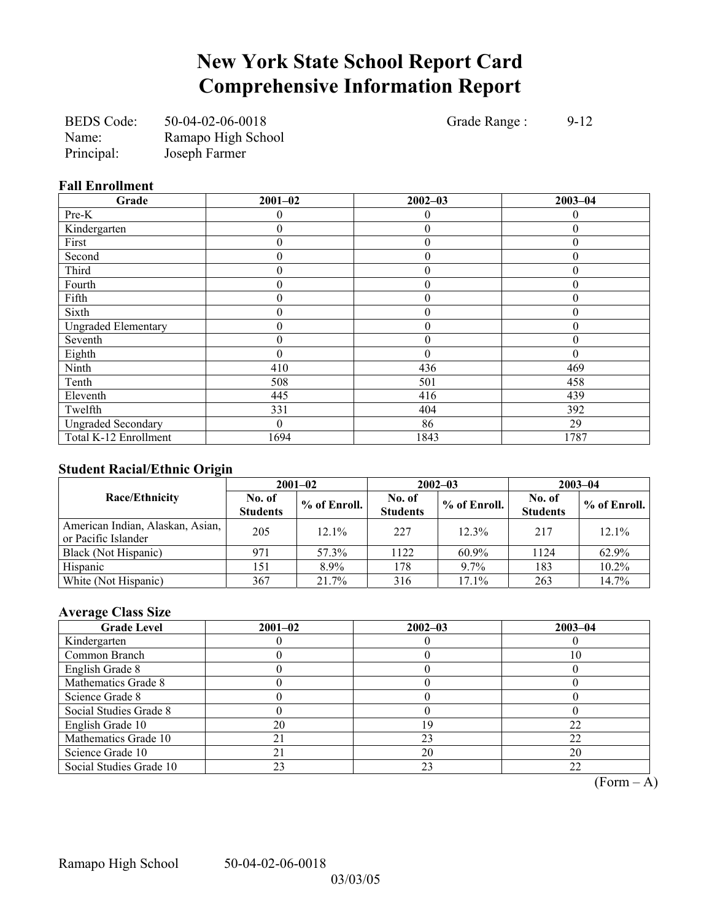## **New York State School Report Card Comprehensive Information Report**

| <b>BEDS</b> Code: | 50-04-02-06-0018   |
|-------------------|--------------------|
| Name:             | Ramapo High School |
| Principal:        | Joseph Farmer      |

Grade Range : 9-12

### **Fall Enrollment**

| Grade                      | $2001 - 02$      | $2002 - 03$      | $2003 - 04$      |
|----------------------------|------------------|------------------|------------------|
| Pre-K                      | 0                | $\theta$         | 0                |
| Kindergarten               | 0                | $\overline{0}$   | $\theta$         |
| First                      | 0                | $\overline{0}$   | $\theta$         |
| Second                     | 0                | $\overline{0}$   | $\theta$         |
| Third                      | 0                | $\overline{0}$   | $\theta$         |
| Fourth                     | 0                | $\boldsymbol{0}$ | $\boldsymbol{0}$ |
| Fifth                      | $\boldsymbol{0}$ | $\boldsymbol{0}$ | $\theta$         |
| Sixth                      | $\boldsymbol{0}$ | $\theta$         | $\theta$         |
| <b>Ungraded Elementary</b> | $\boldsymbol{0}$ | $\boldsymbol{0}$ | $\boldsymbol{0}$ |
| Seventh                    | 0                | $\boldsymbol{0}$ | $\mathbf{0}$     |
| Eighth                     | $\theta$         | $\theta$         | $\theta$         |
| Ninth                      | 410              | 436              | 469              |
| Tenth                      | 508              | 501              | 458              |
| Eleventh                   | 445              | 416              | 439              |
| Twelfth                    | 331              | 404              | 392              |
| <b>Ungraded Secondary</b>  | $\theta$         | 86               | 29               |
| Total K-12 Enrollment      | 1694             | 1843             | 1787             |

## **Student Racial/Ethnic Origin**

|                                                         | $2001 - 02$               |              |                           | $2002 - 03$  | $2003 - 04$               |                |  |
|---------------------------------------------------------|---------------------------|--------------|---------------------------|--------------|---------------------------|----------------|--|
| <b>Race/Ethnicity</b>                                   | No. of<br><b>Students</b> | % of Enroll. | No. of<br><b>Students</b> | % of Enroll. | No. of<br><b>Students</b> | $%$ of Enroll. |  |
| American Indian, Alaskan, Asian,<br>or Pacific Islander | 205                       | $12.1\%$     | 227                       | 12.3%        | 217                       | 12.1%          |  |
| Black (Not Hispanic)                                    | 971                       | 57.3%        | 1122                      | $60.9\%$     | 1124                      | 62.9%          |  |
| Hispanic                                                | 151                       | 8.9%         | 178                       | 9.7%         | 183                       | 10.2%          |  |
| White (Not Hispanic)                                    | 367                       | 21.7%        | 316                       | 17.1%        | 263                       | 14.7%          |  |

### **Average Class Size**

| <b>Grade Level</b>      | $2001 - 02$ | $2002 - 03$ | $2003 - 04$ |
|-------------------------|-------------|-------------|-------------|
| Kindergarten            |             |             |             |
| Common Branch           |             |             | 10          |
| English Grade 8         |             |             |             |
| Mathematics Grade 8     |             |             |             |
| Science Grade 8         |             |             |             |
| Social Studies Grade 8  |             |             |             |
| English Grade 10        | 20          |             | 22          |
| Mathematics Grade 10    |             | 23          | 22          |
| Science Grade 10        | 21          | 20          | 20          |
| Social Studies Grade 10 | 23          | 23          | 22          |

 $\overline{(Form - A)}$ 

Ramapo High School 50-04-02-06-0018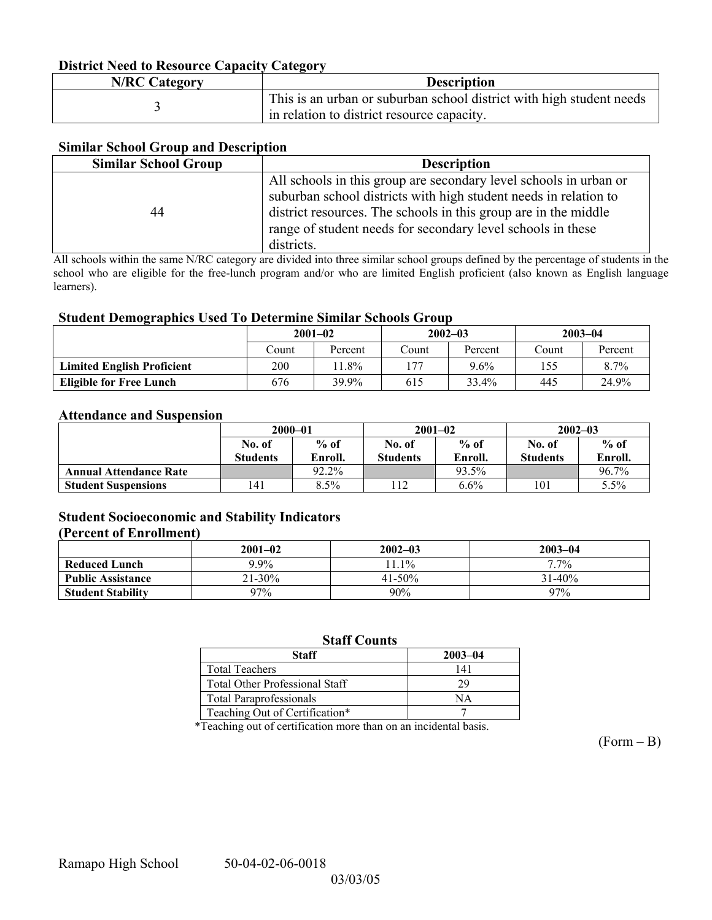### **District Need to Resource Capacity Category**

| <b>N/RC Category</b> | <b>Description</b>                                                                                                 |
|----------------------|--------------------------------------------------------------------------------------------------------------------|
|                      | This is an urban or suburban school district with high student needs<br>in relation to district resource capacity. |

### **Similar School Group and Description**

| <b>Similar School Group</b> | <b>Description</b>                                                                                                                                                                                                                                                                    |
|-----------------------------|---------------------------------------------------------------------------------------------------------------------------------------------------------------------------------------------------------------------------------------------------------------------------------------|
| 44                          | All schools in this group are secondary level schools in urban or<br>suburban school districts with high student needs in relation to<br>district resources. The schools in this group are in the middle<br>range of student needs for secondary level schools in these<br>districts. |

All schools within the same N/RC category are divided into three similar school groups defined by the percentage of students in the school who are eligible for the free-lunch program and/or who are limited English proficient (also known as English language learners).

#### **Student Demographics Used To Determine Similar Schools Group**

|                                   | $2001 - 02$<br>Count<br>Percent |       |               | $2002 - 03$ | $2003 - 04$ |         |
|-----------------------------------|---------------------------------|-------|---------------|-------------|-------------|---------|
|                                   |                                 |       | $\gamma$ ount | Percent     | Count       | Percent |
| <b>Limited English Proficient</b> | 200                             | 1.8%  | 177           | 9.6%        | 155         | $8.7\%$ |
| <b>Eligible for Free Lunch</b>    | 676                             | 39.9% | 615           | 33.4%       | 445         | 24.9%   |

#### **Attendance and Suspension**

|                               | $2000 - 01$     |         | $2001 - 02$     |         | $2002 - 03$     |         |
|-------------------------------|-----------------|---------|-----------------|---------|-----------------|---------|
|                               | No. of          | $%$ of  | No. of          | $%$ of  | No. of          | $%$ of  |
|                               | <b>Students</b> | Enroll. | <b>Students</b> | Enroll. | <b>Students</b> | Enroll. |
| <b>Annual Attendance Rate</b> |                 | 92.2%   |                 | 93.5%   |                 | 96.7%   |
| <b>Student Suspensions</b>    | 141             | 8.5%    | $\overline{12}$ | 6.6%    | 101             | 5.5%    |

### **Student Socioeconomic and Stability Indicators**

#### **(Percent of Enrollment)**

|                          | $2001 - 02$ | $2002 - 03$ | $2003 - 04$ |
|--------------------------|-------------|-------------|-------------|
| <b>Reduced Lunch</b>     | $9.9\%$     | $1.1\%$     | $7.7\%$     |
| <b>Public Assistance</b> | $21 - 30\%$ | $41 - 50\%$ | $31 - 40\%$ |
| <b>Student Stability</b> | 97%         | 90%         | 97%         |

### **Staff Counts**

| Staff                                 | $2003 - 04$ |
|---------------------------------------|-------------|
| <b>Total Teachers</b>                 | 141         |
| <b>Total Other Professional Staff</b> | 29          |
| <b>Total Paraprofessionals</b>        | NΑ          |
| Teaching Out of Certification*        |             |

\*Teaching out of certification more than on an incidental basis.

 $(Form - B)$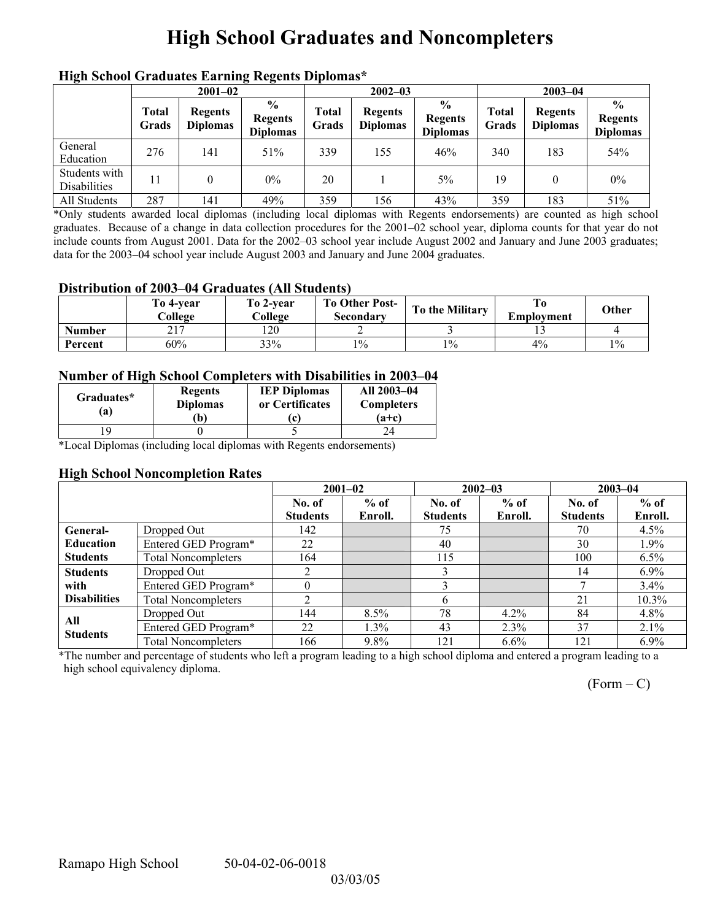# **High School Graduates and Noncompleters**

| mgn benoor Grauuates Larming regents Diplomas |                       |                                   |                                                     |                       |                                   |                                                    |                |                                   |                                                    |  |
|-----------------------------------------------|-----------------------|-----------------------------------|-----------------------------------------------------|-----------------------|-----------------------------------|----------------------------------------------------|----------------|-----------------------------------|----------------------------------------------------|--|
|                                               | $2001 - 02$           |                                   |                                                     | $2002 - 03$           |                                   |                                                    | $2003 - 04$    |                                   |                                                    |  |
|                                               | <b>Total</b><br>Grads | <b>Regents</b><br><b>Diplomas</b> | $\frac{6}{10}$<br><b>Regents</b><br><b>Diplomas</b> | <b>Total</b><br>Grads | <b>Regents</b><br><b>Diplomas</b> | $\frac{0}{0}$<br><b>Regents</b><br><b>Diplomas</b> | Total<br>Grads | <b>Regents</b><br><b>Diplomas</b> | $\frac{0}{0}$<br><b>Regents</b><br><b>Diplomas</b> |  |
| General<br>Education                          | 276                   | 141                               | 51%                                                 | 339                   | 155                               | 46%                                                | 340            | 183                               | 54%                                                |  |
| Students with<br><b>Disabilities</b>          |                       |                                   | $0\%$                                               | 20                    |                                   | 5%                                                 | 19             | 0                                 | $0\%$                                              |  |
| All Students                                  | 287                   | 141                               | 49%                                                 | 359                   | .56                               | 43%                                                | 359            | 183                               | 51%                                                |  |

### **High School Graduates Earning Regents Diplomas\***

\*Only students awarded local diplomas (including local diplomas with Regents endorsements) are counted as high school graduates. Because of a change in data collection procedures for the 2001–02 school year, diploma counts for that year do not include counts from August 2001. Data for the 2002–03 school year include August 2002 and January and June 2003 graduates; data for the 2003–04 school year include August 2003 and January and June 2004 graduates.

### **Distribution of 2003–04 Graduates (All Students)**

|               | To 4-vear<br>College        | To 2-year<br>College | <b>To Other Post-</b><br>Secondary | To the Military | Employment | Other |
|---------------|-----------------------------|----------------------|------------------------------------|-----------------|------------|-------|
| <b>Number</b> | $\sim$ 1 $\sim$<br>$\sim$ 1 | 120                  |                                    |                 |            |       |
| Percent       | 60%                         | 33%                  | $1\%$                              | $1\%$           | 4%         | $1\%$ |

### **Number of High School Completers with Disabilities in 2003–04**

| Graduates*<br>a) | <b>Regents</b><br><b>Diplomas</b><br>b) | <b>IEP Diplomas</b><br>or Certificates | All 2003-04<br><b>Completers</b><br>$(a+c)$ |
|------------------|-----------------------------------------|----------------------------------------|---------------------------------------------|
|                  |                                         |                                        |                                             |

\*Local Diplomas (including local diplomas with Regents endorsements)

### **High School Noncompletion Rates**

|                     |                            |                 | $2001 - 02$ |                 | $2002 - 03$ | $2003 - 04$     |          |
|---------------------|----------------------------|-----------------|-------------|-----------------|-------------|-----------------|----------|
|                     |                            | No. of          | $%$ of      | No. of          | $%$ of      | No. of          | $%$ of   |
|                     |                            | <b>Students</b> | Enroll.     | <b>Students</b> | Enroll.     | <b>Students</b> | Enroll.  |
| <b>General-</b>     | Dropped Out                | 142             |             | 75              |             | 70              | 4.5%     |
| <b>Education</b>    | Entered GED Program*       | 22              |             | 40              |             | 30              | $1.9\%$  |
| <b>Students</b>     | <b>Total Noncompleters</b> | 164             |             | 115             |             | 100             | 6.5%     |
| <b>Students</b>     | Dropped Out                | ↑               |             |                 |             | 14              | $6.9\%$  |
| with                | Entered GED Program*       |                 |             |                 |             |                 | $3.4\%$  |
| <b>Disabilities</b> | <b>Total Noncompleters</b> |                 |             |                 |             | 21              | $10.3\%$ |
| All                 | Dropped Out                | 144             | $8.5\%$     | 78              | $4.2\%$     | 84              | $4.8\%$  |
| <b>Students</b>     | Entered GED Program*       | 22              | 1.3%        | 43              | 2.3%        | 37              | 2.1%     |
|                     | <b>Total Noncompleters</b> | 166             | 9.8%        | 121             | 6.6%        | 121             | $6.9\%$  |

\*The number and percentage of students who left a program leading to a high school diploma and entered a program leading to a high school equivalency diploma.

 $(Form - C)$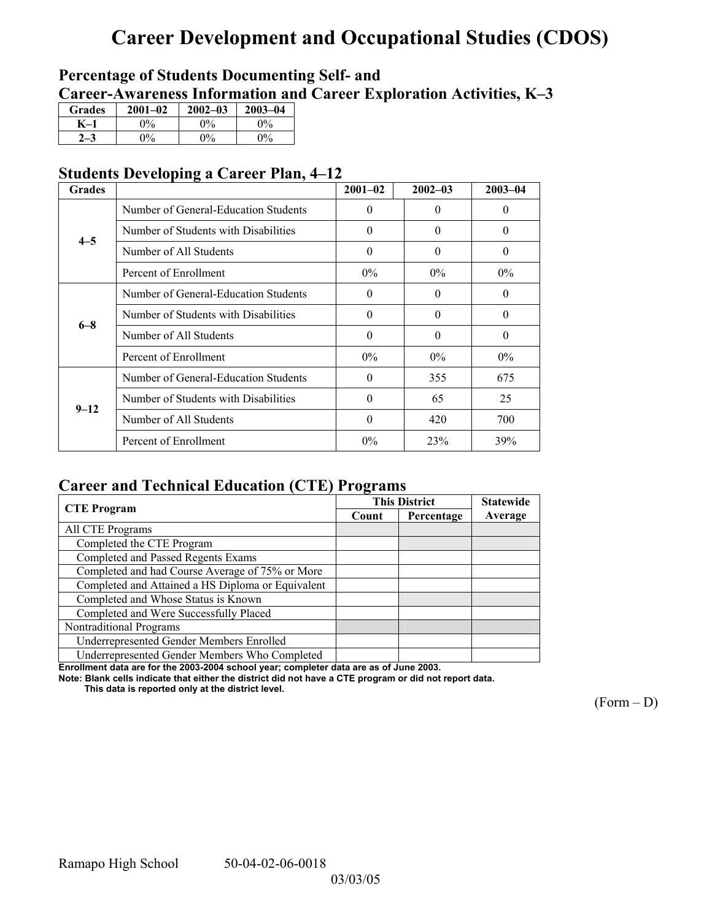# **Career Development and Occupational Studies (CDOS)**

## **Percentage of Students Documenting Self- and**  Career-Awareness Information and Career Exploration Activities, K-3

| <b>Grades</b> | $2001 - 02$           | $2002 - 03$ | $2003 - 04$ |
|---------------|-----------------------|-------------|-------------|
|               | 0%                    | $0\%$       | $0\%$       |
|               | $\gamma$ <sup>o</sup> | $\Omega$    | $0\%$       |

## **Students Developing a Career Plan, 4–12**

| <b>Grades</b> |                                      | $2001 - 02$ | $2002 - 03$ | $2003 - 04$ |
|---------------|--------------------------------------|-------------|-------------|-------------|
|               | Number of General-Education Students | $\theta$    | $\Omega$    | $\theta$    |
| $4 - 5$       | Number of Students with Disabilities | $\theta$    | $\theta$    | $\theta$    |
|               | Number of All Students               | $\theta$    | $\Omega$    | $\theta$    |
|               | Percent of Enrollment                | $0\%$       | $0\%$       | $0\%$       |
|               | Number of General-Education Students | $\theta$    | $\Omega$    | 0           |
| $6 - 8$       | Number of Students with Disabilities | $\Omega$    | $\Omega$    | $\Omega$    |
|               | Number of All Students               | $\theta$    | $\Omega$    | $\theta$    |
|               | Percent of Enrollment                | $0\%$       | $0\%$       | $0\%$       |
|               | Number of General-Education Students | $\Omega$    | 355         | 675         |
| $9 - 12$      | Number of Students with Disabilities | $\theta$    | 65          | 25          |
|               | Number of All Students               | $\theta$    | 420         | 700         |
|               | Percent of Enrollment                | $0\%$       | 23%         | 39%         |

## **Career and Technical Education (CTE) Programs**

|                                                   |       | <b>This District</b> |         |  |
|---------------------------------------------------|-------|----------------------|---------|--|
| <b>CTE</b> Program                                | Count | Percentage           | Average |  |
| All CTE Programs                                  |       |                      |         |  |
| Completed the CTE Program                         |       |                      |         |  |
| Completed and Passed Regents Exams                |       |                      |         |  |
| Completed and had Course Average of 75% or More   |       |                      |         |  |
| Completed and Attained a HS Diploma or Equivalent |       |                      |         |  |
| Completed and Whose Status is Known               |       |                      |         |  |
| Completed and Were Successfully Placed            |       |                      |         |  |
| Nontraditional Programs                           |       |                      |         |  |
| Underrepresented Gender Members Enrolled          |       |                      |         |  |
| Underrepresented Gender Members Who Completed     |       |                      |         |  |

**Enrollment data are for the 2003-2004 school year; completer data are as of June 2003.** 

**Note: Blank cells indicate that either the district did not have a CTE program or did not report data.** 

 **This data is reported only at the district level.** 

 $(Form - D)$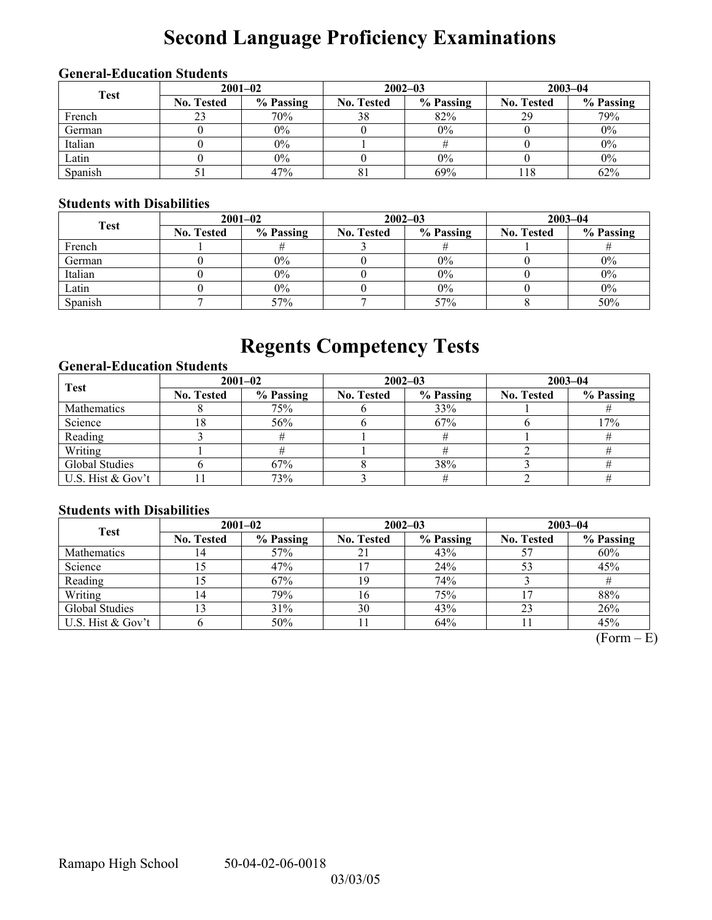# **Second Language Proficiency Examinations**

## **General-Education Students**

| <b>Test</b> | $2001 - 02$       |           |                   | $2002 - 03$ | $2003 - 04$       |           |  |
|-------------|-------------------|-----------|-------------------|-------------|-------------------|-----------|--|
|             | <b>No. Tested</b> | % Passing | <b>No. Tested</b> | % Passing   | <b>No. Tested</b> | % Passing |  |
| French      |                   | 70%       | 38                | 82%         | 29                | 79%       |  |
| German      |                   | $0\%$     |                   | $0\%$       |                   | $0\%$     |  |
| Italian     |                   | $0\%$     |                   |             |                   | $0\%$     |  |
| Latin       |                   | $0\%$     |                   | $0\%$       |                   | $0\%$     |  |
| Spanish     |                   | 47%       | 81                | 69%         | 18                | 62%       |  |

### **Students with Disabilities**

| <b>Test</b> | $2001 - 02$       |           |                   | $2002 - 03$ | $2003 - 04$       |           |  |
|-------------|-------------------|-----------|-------------------|-------------|-------------------|-----------|--|
|             | <b>No. Tested</b> | % Passing | <b>No. Tested</b> | % Passing   | <b>No. Tested</b> | % Passing |  |
| French      |                   |           |                   |             |                   |           |  |
| German      |                   | $0\%$     |                   | 0%          |                   | $0\%$     |  |
| Italian     |                   | $0\%$     |                   | 0%          |                   | $0\%$     |  |
| Latin       |                   | $0\%$     |                   | 0%          |                   | $0\%$     |  |
| Spanish     |                   | 57%       |                   | 57%         |                   | 50%       |  |

# **Regents Competency Tests**

### **General-Education Students**

| <b>Test</b>       | $2001 - 02$       |           |                   | $2002 - 03$ | $2003 - 04$       |           |  |
|-------------------|-------------------|-----------|-------------------|-------------|-------------------|-----------|--|
|                   | <b>No. Tested</b> | % Passing | <b>No. Tested</b> | % Passing   | <b>No. Tested</b> | % Passing |  |
| Mathematics       |                   | 75%       |                   | 33%         |                   |           |  |
| Science           | 18                | 56%       |                   | 67%         |                   | 17%       |  |
| Reading           |                   |           |                   |             |                   |           |  |
| Writing           |                   |           |                   |             |                   |           |  |
| Global Studies    |                   | 67%       |                   | 38%         |                   |           |  |
| U.S. Hist & Gov't |                   | 73%       |                   |             |                   |           |  |

### **Students with Disabilities**

| <b>Test</b>       | $2001 - 02$       |           | $2002 - 03$       |           | $2003 - 04$       |           |  |
|-------------------|-------------------|-----------|-------------------|-----------|-------------------|-----------|--|
|                   | <b>No. Tested</b> | % Passing | <b>No. Tested</b> | % Passing | <b>No. Tested</b> | % Passing |  |
| Mathematics       | 14                | 57%       | 21                | 43%       |                   | 60%       |  |
| Science           |                   | 47%       |                   | 24%       | 53                | 45%       |  |
| Reading           | l5                | 67%       | 19                | 74%       |                   |           |  |
| Writing           | $\overline{A}$    | 79%       | 16                | 75%       |                   | 88%       |  |
| Global Studies    |                   | 31%       | 30                | 43%       | 23                | 26%       |  |
| U.S. Hist & Gov't |                   | 50%       |                   | 64%       |                   | 45%       |  |

 $(Form - E)$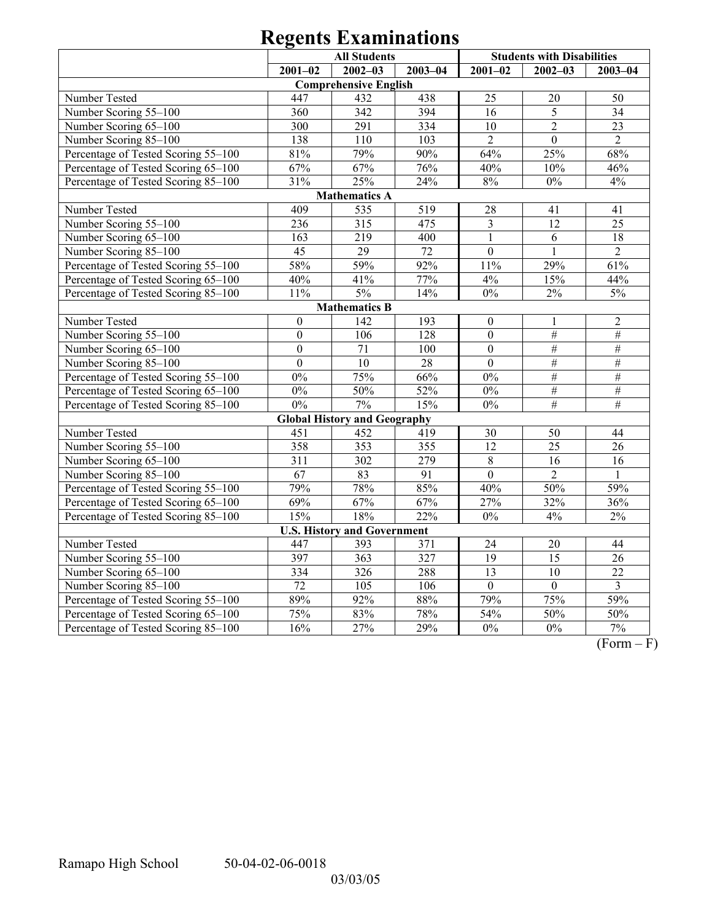|                                     | <b>All Students</b> |                                     |                 |                  | <b>Students with Disabilities</b> |                         |  |  |  |  |
|-------------------------------------|---------------------|-------------------------------------|-----------------|------------------|-----------------------------------|-------------------------|--|--|--|--|
|                                     | $2001 - 02$         | $2002 - 03$                         | $2003 - 04$     | $2001 - 02$      | $2002 - 03$                       | $2003 - 04$             |  |  |  |  |
| <b>Comprehensive English</b>        |                     |                                     |                 |                  |                                   |                         |  |  |  |  |
| Number Tested                       | 447                 | 432                                 | 438             | 25               | 20                                | 50                      |  |  |  |  |
| Number Scoring 55-100               | 360                 | 342                                 | 394             | 16               | 5                                 | 34                      |  |  |  |  |
| Number Scoring 65-100               | 300                 | 291                                 | 334             | 10               | $\sqrt{2}$                        | 23                      |  |  |  |  |
| Number Scoring 85-100               | 138                 | 110                                 | 103             | $\overline{2}$   | $\overline{0}$                    | $\overline{2}$          |  |  |  |  |
| Percentage of Tested Scoring 55-100 | 81%                 | 79%                                 | 90%             | 64%              | 25%                               | 68%                     |  |  |  |  |
| Percentage of Tested Scoring 65-100 | 67%                 | 67%                                 | 76%             | 40%              | 10%                               | 46%                     |  |  |  |  |
| Percentage of Tested Scoring 85-100 | 31%                 | 25%                                 | 24%             | $8\%$            | $0\%$                             | 4%                      |  |  |  |  |
|                                     |                     | <b>Mathematics A</b>                |                 |                  |                                   |                         |  |  |  |  |
| Number Tested                       | 409                 | 535                                 | 519             | 28               | 41                                | 41                      |  |  |  |  |
| Number Scoring 55-100               | 236                 | 315                                 | 475             | $\overline{3}$   | 12                                | 25                      |  |  |  |  |
| Number Scoring 65-100               | 163                 | 219                                 | 400             | $\mathbf{1}$     | 6                                 | 18                      |  |  |  |  |
| Number Scoring 85-100               | 45                  | 29                                  | $\overline{72}$ | $\overline{0}$   | $\mathbf{1}$                      | $\overline{2}$          |  |  |  |  |
| Percentage of Tested Scoring 55-100 | 58%                 | 59%                                 | 92%             | 11%              | 29%                               | 61%                     |  |  |  |  |
| Percentage of Tested Scoring 65-100 | 40%                 | 41%                                 | 77%             | 4%               | 15%                               | 44%                     |  |  |  |  |
| Percentage of Tested Scoring 85-100 | 11%                 | $5\%$                               | 14%             | $0\%$            | $2\%$                             | $5\%$                   |  |  |  |  |
|                                     |                     | <b>Mathematics B</b>                |                 |                  |                                   |                         |  |  |  |  |
| Number Tested                       | $\boldsymbol{0}$    | 142                                 | 193             | $\boldsymbol{0}$ | 1                                 | $\sqrt{2}$              |  |  |  |  |
| Number Scoring 55-100               | $\mathbf{0}$        | 106                                 | 128             | $\mathbf{0}$     | $\overline{\#}$                   | $\#$                    |  |  |  |  |
| Number Scoring 65-100               | $\boldsymbol{0}$    | 71                                  | 100             | $\mathbf{0}$     | $\overline{\#}$                   | $\overline{\#}$         |  |  |  |  |
| Number Scoring 85-100               | $\boldsymbol{0}$    | 10                                  | $28\,$          | $\boldsymbol{0}$ | $\#$                              | $\#$                    |  |  |  |  |
| Percentage of Tested Scoring 55-100 | $0\%$               | 75%                                 | 66%             | 0%               | $\#$                              | $\#$                    |  |  |  |  |
| Percentage of Tested Scoring 65-100 | $0\%$               | 50%                                 | 52%             | $0\%$            | $\#$                              | $\#$                    |  |  |  |  |
| Percentage of Tested Scoring 85-100 | $0\%$               | 7%                                  | 15%             | $0\%$            | #                                 | #                       |  |  |  |  |
|                                     |                     | <b>Global History and Geography</b> |                 |                  |                                   |                         |  |  |  |  |
| Number Tested                       | 451                 | 452                                 | 419             | 30               | 50                                | 44                      |  |  |  |  |
| Number Scoring 55-100               | 358                 | 353                                 | 355             | $\overline{12}$  | $\overline{25}$                   | 26                      |  |  |  |  |
| Number Scoring 65-100               | 311                 | 302                                 | 279             | $\,8\,$          | 16                                | 16                      |  |  |  |  |
| Number Scoring 85-100               | 67                  | 83                                  | 91              | $\overline{0}$   | $\overline{2}$                    | $\mathbf{1}$            |  |  |  |  |
| Percentage of Tested Scoring 55-100 | 79%                 | 78%                                 | 85%             | 40%              | 50%                               | 59%                     |  |  |  |  |
| Percentage of Tested Scoring 65-100 | 69%                 | 67%                                 | 67%             | 27%              | 32%                               | 36%                     |  |  |  |  |
| Percentage of Tested Scoring 85-100 | 15%                 | 18%                                 | 22%             | $0\%$            | 4%                                | $2\%$                   |  |  |  |  |
|                                     |                     | <b>U.S. History and Government</b>  |                 |                  |                                   |                         |  |  |  |  |
| Number Tested                       | 447                 | 393                                 | 371             | 24               | $20\,$                            | 44                      |  |  |  |  |
| Number Scoring 55-100               | 397                 | $\overline{363}$                    | 327             | 19               | $\overline{15}$                   | $\overline{26}$         |  |  |  |  |
| Number Scoring 65-100               | 334                 | $\overline{326}$                    | 288             | $\overline{13}$  | $\overline{10}$                   | $\overline{22}$         |  |  |  |  |
| Number Scoring 85-100               | $\overline{72}$     | 105                                 | 106             | $\overline{0}$   | $\boldsymbol{0}$                  | $\overline{\mathbf{3}}$ |  |  |  |  |
| Percentage of Tested Scoring 55-100 | 89%                 | 92%                                 | 88%             | 79%              | 75%                               | 59%                     |  |  |  |  |
| Percentage of Tested Scoring 65-100 | 75%                 | 83%                                 | 78%             | $\frac{1}{54\%}$ | 50%                               | 50%                     |  |  |  |  |
| Percentage of Tested Scoring 85-100 | 16%                 | 27%                                 | 29%             | $\overline{0\%}$ | 0%                                | 7%                      |  |  |  |  |

 $\overline{(Form - F)}$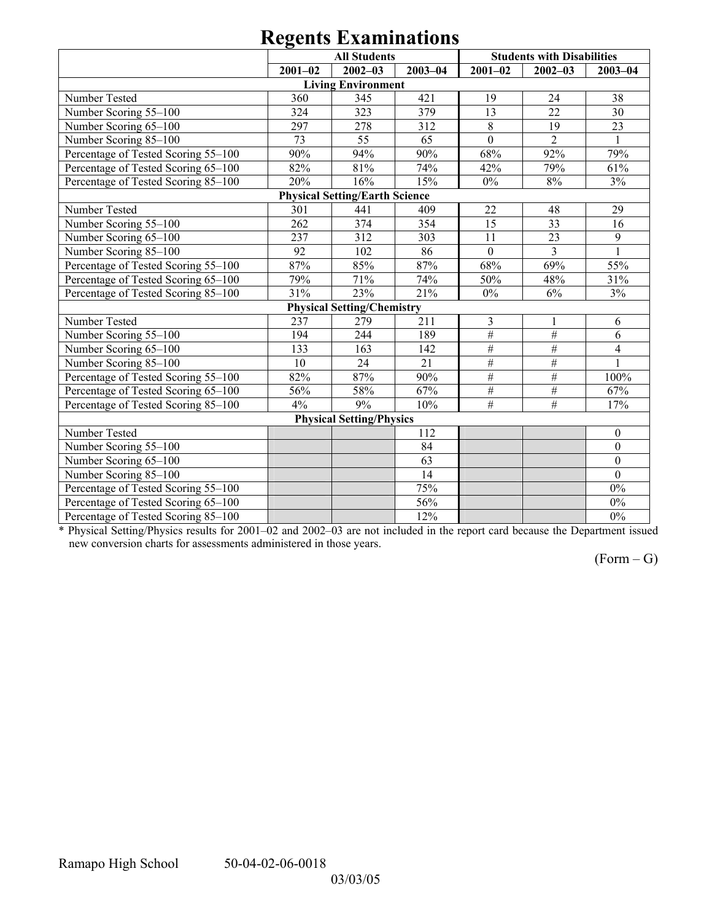| 0                                   |             |                                       |             |                |                                   |                         |  |  |  |  |
|-------------------------------------|-------------|---------------------------------------|-------------|----------------|-----------------------------------|-------------------------|--|--|--|--|
|                                     |             | <b>All Students</b>                   |             |                | <b>Students with Disabilities</b> |                         |  |  |  |  |
|                                     | $2001 - 02$ | $2002 - 03$                           | $2003 - 04$ | $2001 - 02$    | $2002 - 03$                       | $2003 - 04$             |  |  |  |  |
| <b>Living Environment</b>           |             |                                       |             |                |                                   |                         |  |  |  |  |
| Number Tested                       | 360         | 345                                   | 421         | 19             | 24                                | 38                      |  |  |  |  |
| Number Scoring 55-100               | 324         | 323                                   | 379         | 13             | 22                                | 30                      |  |  |  |  |
| Number Scoring 65-100               | 297         | 278                                   | 312         | 8              | 19                                | 23                      |  |  |  |  |
| Number Scoring 85-100               | 73          | 55                                    | 65          | $\overline{0}$ | $\overline{2}$                    | $\mathbf{1}$            |  |  |  |  |
| Percentage of Tested Scoring 55-100 | 90%         | 94%                                   | 90%         | 68%            | 92%                               | 79%                     |  |  |  |  |
| Percentage of Tested Scoring 65-100 | 82%         | 81%                                   | 74%         | 42%            | 79%                               | 61%                     |  |  |  |  |
| Percentage of Tested Scoring 85-100 | 20%         | 16%                                   | 15%         | $0\%$          | 8%                                | 3%                      |  |  |  |  |
|                                     |             | <b>Physical Setting/Earth Science</b> |             |                |                                   |                         |  |  |  |  |
| Number Tested                       | 301         | 441                                   | 409         | 22             | 48                                | 29                      |  |  |  |  |
| Number Scoring 55-100               | 262         | 374                                   | 354         | 15             | 33                                | 16                      |  |  |  |  |
| Number Scoring 65-100               | 237         | 312                                   | 303         | 11             | 23                                | 9                       |  |  |  |  |
| Number Scoring 85-100               | 92          | 102                                   | 86          | $\mathbf{0}$   | $\overline{3}$                    |                         |  |  |  |  |
| Percentage of Tested Scoring 55-100 | 87%         | 85%                                   | 87%         | 68%            | 69%                               | 55%                     |  |  |  |  |
| Percentage of Tested Scoring 65-100 | 79%         | 71%                                   | 74%         | 50%            | 48%                               | 31%                     |  |  |  |  |
| Percentage of Tested Scoring 85-100 | 31%         | 23%                                   | 21%         | $0\%$          | 6%                                | 3%                      |  |  |  |  |
|                                     |             | <b>Physical Setting/Chemistry</b>     |             |                |                                   |                         |  |  |  |  |
| Number Tested                       | 237         | 279                                   | 211         | 3              | 1                                 | 6                       |  |  |  |  |
| Number Scoring 55-100               | 194         | 244                                   | 189         | $\#$           | $\#$                              | 6                       |  |  |  |  |
| Number Scoring 65-100               | 133         | 163                                   | 142         | $\#$           | $\#$                              | $\overline{\mathbf{4}}$ |  |  |  |  |
| Number Scoring 85-100               | 10          | 24                                    | 21          | $\overline{H}$ | $\#$                              |                         |  |  |  |  |
| Percentage of Tested Scoring 55-100 | 82%         | 87%                                   | 90%         | $\#$           | $\overline{\#}$                   | 100%                    |  |  |  |  |
| Percentage of Tested Scoring 65-100 | 56%         | 58%                                   | 67%         | $\#$           | $\#$                              | 67%                     |  |  |  |  |
| Percentage of Tested Scoring 85-100 | 4%          | 9%                                    | 10%         | $\#$           | #                                 | 17%                     |  |  |  |  |
| <b>Physical Setting/Physics</b>     |             |                                       |             |                |                                   |                         |  |  |  |  |
| Number Tested                       |             |                                       | 112         |                |                                   | $\boldsymbol{0}$        |  |  |  |  |
| Number Scoring 55-100               |             |                                       | 84          |                |                                   | $\boldsymbol{0}$        |  |  |  |  |
| Number Scoring 65-100               |             |                                       | 63          |                |                                   | $\mathbf{0}$            |  |  |  |  |
| Number Scoring 85-100               |             |                                       | 14          |                |                                   | $\mathbf{0}$            |  |  |  |  |
| Percentage of Tested Scoring 55-100 |             |                                       | 75%         |                |                                   | $0\%$                   |  |  |  |  |
| Percentage of Tested Scoring 65-100 |             |                                       | 56%         |                |                                   | $0\%$                   |  |  |  |  |
| Percentage of Tested Scoring 85-100 |             |                                       | 12%         |                |                                   | $0\%$                   |  |  |  |  |

\* Physical Setting/Physics results for 2001–02 and 2002–03 are not included in the report card because the Department issued new conversion charts for assessments administered in those years.

 $(Form - G)$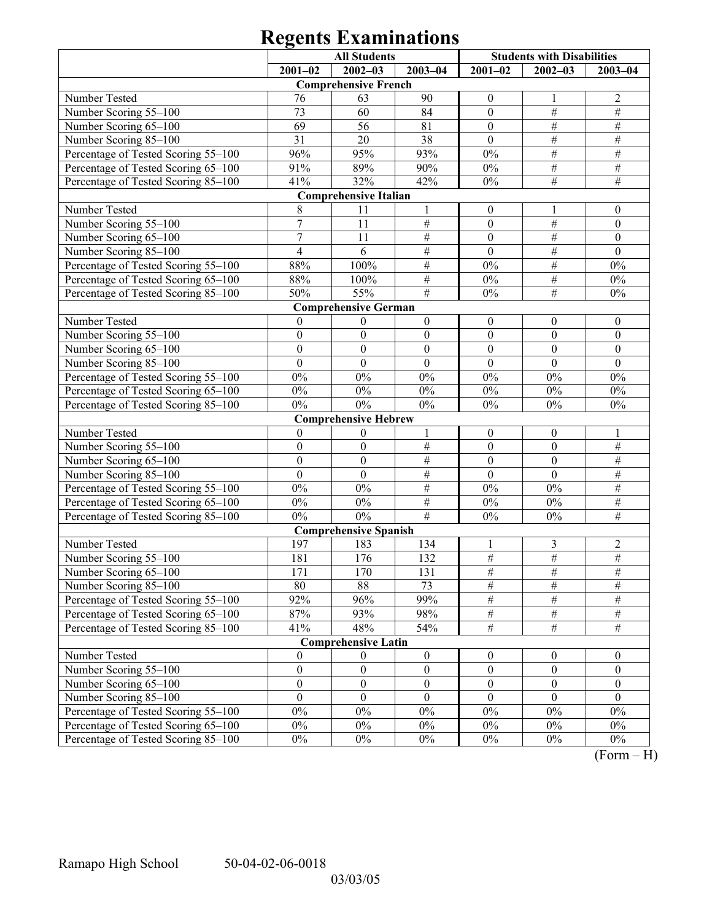|                                     | <b>All Students</b> |                              |                  | <b>Students with Disabilities</b> |                  |                  |  |  |  |  |
|-------------------------------------|---------------------|------------------------------|------------------|-----------------------------------|------------------|------------------|--|--|--|--|
|                                     | $2001 - 02$         | $2002 - 03$                  | $2003 - 04$      | $2001 - 02$                       | $2002 - 03$      | $2003 - 04$      |  |  |  |  |
| <b>Comprehensive French</b>         |                     |                              |                  |                                   |                  |                  |  |  |  |  |
| Number Tested                       | 76                  | 63                           | 90               | $\boldsymbol{0}$                  | $\perp$          | $\overline{2}$   |  |  |  |  |
| Number Scoring 55-100               | 73                  | 60                           | 84               | $\boldsymbol{0}$                  | $\#$             | $\#$             |  |  |  |  |
| Number Scoring 65-100               | 69                  | 56                           | 81               | $\boldsymbol{0}$                  | $\#$             | $\overline{\#}$  |  |  |  |  |
| Number Scoring 85-100               | 31                  | 20                           | 38               | $\mathbf{0}$                      | $\#$             | $\#$             |  |  |  |  |
| Percentage of Tested Scoring 55-100 | 96%                 | 95%                          | 93%              | $0\%$                             | $\#$             | $\#$             |  |  |  |  |
| Percentage of Tested Scoring 65-100 | 91%                 | 89%                          | 90%              | $0\%$                             | $\#$             | $\#$             |  |  |  |  |
| Percentage of Tested Scoring 85-100 | 41%                 | 32%                          | 42%              | $0\%$                             | $\overline{\#}$  | $\#$             |  |  |  |  |
|                                     |                     | <b>Comprehensive Italian</b> |                  |                                   |                  |                  |  |  |  |  |
| Number Tested                       | 8                   | 11                           | 1                | $\boldsymbol{0}$                  | 1                | $\boldsymbol{0}$ |  |  |  |  |
| Number Scoring 55-100               | 7                   | 11                           | $\#$             | $\boldsymbol{0}$                  | $\#$             | $\boldsymbol{0}$ |  |  |  |  |
| Number Scoring 65-100               | $\overline{7}$      | 11                           | $\#$             | $\boldsymbol{0}$                  | $\#$             | $\boldsymbol{0}$ |  |  |  |  |
| Number Scoring 85-100               | $\overline{4}$      | 6                            | $\#$             | $\mathbf{0}$                      | $\#$             | $\mathbf{0}$     |  |  |  |  |
| Percentage of Tested Scoring 55-100 | 88%                 | 100%                         | $\#$             | $0\%$                             | $\#$             | $0\%$            |  |  |  |  |
| Percentage of Tested Scoring 65-100 | 88%                 | 100%                         | $\#$             | $0\%$                             | $\#$             | $0\%$            |  |  |  |  |
| Percentage of Tested Scoring 85-100 | 50%                 | 55%                          | $\frac{1}{2}$    | $0\%$                             | $\overline{\#}$  | $0\%$            |  |  |  |  |
|                                     |                     | <b>Comprehensive German</b>  |                  |                                   |                  |                  |  |  |  |  |
| Number Tested                       | $\mathbf{0}$        | $\boldsymbol{0}$             | $\boldsymbol{0}$ | $\boldsymbol{0}$                  | $\boldsymbol{0}$ | $\boldsymbol{0}$ |  |  |  |  |
| Number Scoring 55-100               | $\boldsymbol{0}$    | $\boldsymbol{0}$             | $\boldsymbol{0}$ | $\boldsymbol{0}$                  | $\mathbf{0}$     | $\boldsymbol{0}$ |  |  |  |  |
| Number Scoring 65-100               | $\boldsymbol{0}$    | $\boldsymbol{0}$             | $\boldsymbol{0}$ | $\boldsymbol{0}$                  | $\boldsymbol{0}$ | $\boldsymbol{0}$ |  |  |  |  |
| Number Scoring 85-100               | $\overline{0}$      | $\overline{0}$               | $\mathbf{0}$     | $\mathbf{0}$                      | $\mathbf{0}$     | $\mathbf{0}$     |  |  |  |  |
| Percentage of Tested Scoring 55-100 | $0\%$               | $0\%$                        | $0\%$            | $0\%$                             | $0\%$            | $0\%$            |  |  |  |  |
| Percentage of Tested Scoring 65-100 | $0\%$               | $0\%$                        | $0\%$            | $0\%$                             | $0\%$            | $0\%$            |  |  |  |  |
| Percentage of Tested Scoring 85-100 | $0\%$               | $0\%$                        | $0\%$            | $0\%$                             | $0\%$            | $0\%$            |  |  |  |  |
|                                     |                     | <b>Comprehensive Hebrew</b>  |                  |                                   |                  |                  |  |  |  |  |
| Number Tested                       | $\boldsymbol{0}$    | $\boldsymbol{0}$             | 1                | $\boldsymbol{0}$                  | $\boldsymbol{0}$ | 1                |  |  |  |  |
| Number Scoring 55-100               | $\boldsymbol{0}$    | $\boldsymbol{0}$             | $\#$             | $\boldsymbol{0}$                  | $\mathbf{0}$     | $\#$             |  |  |  |  |
| Number Scoring 65-100               | $\boldsymbol{0}$    | $\boldsymbol{0}$             | $\overline{\#}$  | $\boldsymbol{0}$                  | $\mathbf{0}$     | $\overline{\#}$  |  |  |  |  |
| Number Scoring 85-100               | $\boldsymbol{0}$    | $\boldsymbol{0}$             | $\#$             | $\boldsymbol{0}$                  | $\mathbf{0}$     | $\#$             |  |  |  |  |
| Percentage of Tested Scoring 55-100 | $0\%$               | $0\%$                        | $\#$             | $0\%$                             | $0\%$            | $\#$             |  |  |  |  |
| Percentage of Tested Scoring 65-100 | $0\%$               | $0\%$                        | $\#$             | $0\%$                             | $0\%$            | $\#$             |  |  |  |  |
| Percentage of Tested Scoring 85-100 | $0\%$               | $0\%$                        | #                | $0\%$                             | $0\%$            | $\#$             |  |  |  |  |
|                                     |                     | <b>Comprehensive Spanish</b> |                  |                                   |                  |                  |  |  |  |  |
| Number Tested                       | 197                 | 183                          | 134              | 1                                 | 3                | 2                |  |  |  |  |
| Number Scoring 55-100               | 181                 | 176                          | 132              | $\frac{1}{2}$                     | $\#$             | $\frac{1}{2}$    |  |  |  |  |
| Number Scoring 65-100               | 171                 | 170                          | 131              | #                                 | #                | #                |  |  |  |  |
| Number Scoring 85-100               | 80                  | 88                           | 73               | $\#$                              | $\#$             | $\#$             |  |  |  |  |
| Percentage of Tested Scoring 55-100 | 92%                 | 96%                          | 99%              | $\overline{\#}$                   | $\frac{1}{2}$    | $\#$             |  |  |  |  |
| Percentage of Tested Scoring 65-100 | 87%                 | 93%                          | 98%              | $\overline{\#}$                   | $\frac{1}{2}$    | $\frac{1}{2}$    |  |  |  |  |
| Percentage of Tested Scoring 85-100 | 41%                 | 48%                          | 54%              | $\overline{\#}$                   | $\#$             | $\overline{\#}$  |  |  |  |  |
|                                     |                     | <b>Comprehensive Latin</b>   |                  |                                   |                  |                  |  |  |  |  |
| Number Tested                       | $\mathbf{0}$        | $\theta$                     | $\boldsymbol{0}$ | $\boldsymbol{0}$                  | $\boldsymbol{0}$ | $\boldsymbol{0}$ |  |  |  |  |
| Number Scoring 55-100               | $\boldsymbol{0}$    | $\boldsymbol{0}$             | $\boldsymbol{0}$ | $\boldsymbol{0}$                  | $\boldsymbol{0}$ | $\boldsymbol{0}$ |  |  |  |  |
| Number Scoring 65-100               | $\boldsymbol{0}$    | $\boldsymbol{0}$             | $\boldsymbol{0}$ | $\boldsymbol{0}$                  | $\boldsymbol{0}$ | $\boldsymbol{0}$ |  |  |  |  |
| Number Scoring 85-100               | $\mathbf{0}$        | $\mathbf{0}$                 | $\mathbf{0}$     | $\mathbf{0}$                      | $\theta$         | $\theta$         |  |  |  |  |
| Percentage of Tested Scoring 55-100 | $0\%$               | $0\%$                        | $0\%$            | $0\%$                             | $0\%$            | $0\%$            |  |  |  |  |
| Percentage of Tested Scoring 65–100 | $0\%$               | $0\%$                        | $0\%$            | $0\%$                             | $0\%$            | $0\%$            |  |  |  |  |
| Percentage of Tested Scoring 85-100 | $0\%$               | $0\%$                        | $0\%$            | $0\%$                             | $0\%$            | $0\%$            |  |  |  |  |

 $(Form - H)$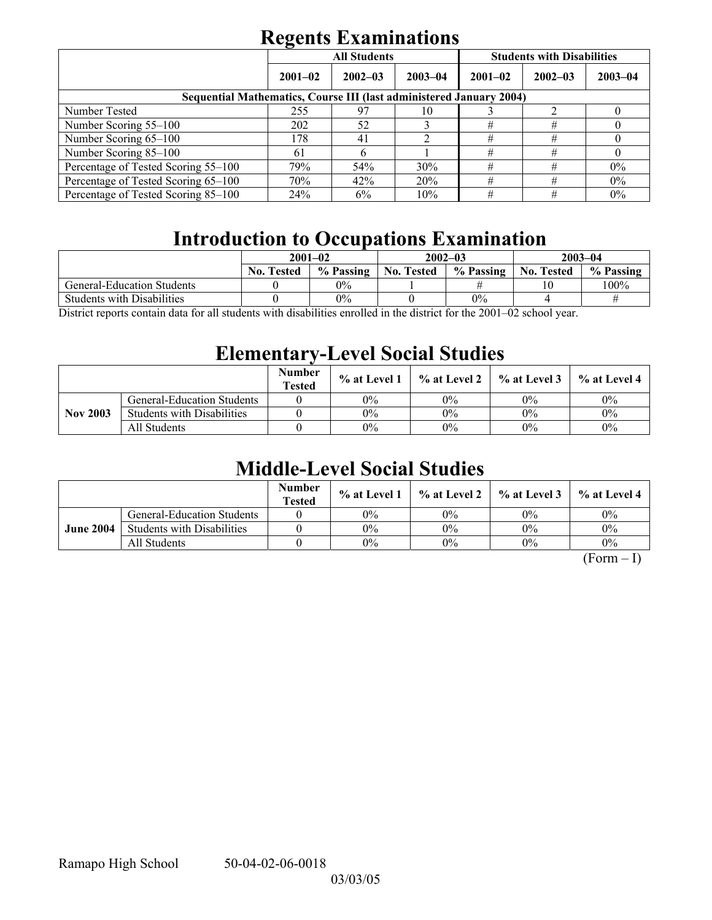|                                                                     | . .         | <b>All Students</b> |             | <b>Students with Disabilities</b> |             |             |  |  |  |
|---------------------------------------------------------------------|-------------|---------------------|-------------|-----------------------------------|-------------|-------------|--|--|--|
|                                                                     | $2001 - 02$ | $2002 - 03$         | $2003 - 04$ | $2001 - 02$                       | $2002 - 03$ | $2003 - 04$ |  |  |  |
| Sequential Mathematics, Course III (last administered January 2004) |             |                     |             |                                   |             |             |  |  |  |
| Number Tested                                                       | 255         | 97                  | 10          |                                   |             |             |  |  |  |
| Number Scoring 55–100                                               | 202         | 52                  |             | #                                 | #           |             |  |  |  |
| Number Scoring 65-100                                               | 178         | 41                  | າ           | #                                 | #           |             |  |  |  |
| Number Scoring 85-100                                               | 61          |                     |             | #                                 | #           |             |  |  |  |
| Percentage of Tested Scoring 55-100                                 | 79%         | 54%                 | 30%         | #                                 | #           | $0\%$       |  |  |  |
| Percentage of Tested Scoring 65-100                                 | 70%         | 42%                 | 20%         | #                                 | #           | $0\%$       |  |  |  |
| Percentage of Tested Scoring 85–100                                 | 24%         | 6%                  | 10%         | #                                 | #           | $0\%$       |  |  |  |

## **Introduction to Occupations Examination**

|                   |           |                   |           | $2003 - 04$       |           |  |
|-------------------|-----------|-------------------|-----------|-------------------|-----------|--|
| <b>No. Tested</b> | % Passing | <b>No. Tested</b> | % Passing | <b>No. Tested</b> | % Passing |  |
|                   | $0\%$     |                   |           |                   | $100\%$   |  |
|                   | 0%        |                   | $0\%$     |                   |           |  |
|                   |           | $2001 - 02$       |           | $2002 - 03$       |           |  |

District reports contain data for all students with disabilities enrolled in the district for the 2001–02 school year.

## **Elementary-Level Social Studies**

|                 |                                   | <b>Number</b><br><b>Tested</b> | $\%$ at Level 1 | $\%$ at Level 2 $\parallel$ | $\%$ at Level 3 | % at Level 4 |
|-----------------|-----------------------------------|--------------------------------|-----------------|-----------------------------|-----------------|--------------|
|                 | <b>General-Education Students</b> |                                | 0%              | 0%                          | $0\%$           | $0\%$        |
| <b>Nov 2003</b> | <b>Students with Disabilities</b> |                                | $0\%$           | $0\%$                       | $0\%$           | $0\%$        |
|                 | All Students                      |                                | 0%              | $0\%$                       | $0\%$           | $0\%$        |

## **Middle-Level Social Studies**

|                  |                                   | <b>Number</b><br><b>Tested</b> | $\%$ at Level 1 |       | $\%$ at Level 2 $\%$ at Level 3 | $\%$ at Level 4 |
|------------------|-----------------------------------|--------------------------------|-----------------|-------|---------------------------------|-----------------|
|                  | <b>General-Education Students</b> |                                | $0\%$           | 0%    | $0\%$                           | $0\%$           |
| <b>June 2004</b> | <b>Students with Disabilities</b> |                                | $0\%$           | 0%    | $0\%$                           | $0\%$           |
|                  | All Students                      |                                | $0\%$           | $0\%$ | $0\%$                           | $0\%$           |